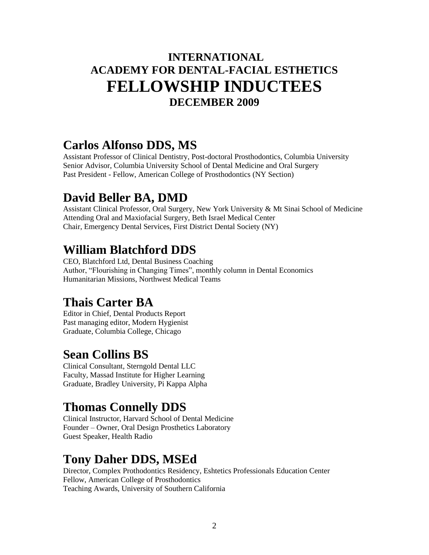#### **INTERNATIONAL ACADEMY FOR DENTAL-FACIAL ESTHETICS FELLOWSHIP INDUCTEES DECEMBER 2009**

#### **Carlos Alfonso DDS, MS**

Assistant Professor of Clinical Dentistry, Post-doctoral Prosthodontics, Columbia University Senior Advisor, Columbia University School of Dental Medicine and Oral Surgery Past President - Fellow, American College of Prosthodontics (NY Section)

#### **David Beller BA, DMD**

Assistant Clinical Professor, Oral Surgery, New York University & Mt Sinai School of Medicine Attending Oral and Maxiofacial Surgery, Beth Israel Medical Center Chair, Emergency Dental Services, First District Dental Society (NY)

#### **William Blatchford DDS**

CEO, Blatchford Ltd, Dental Business Coaching Author, "Flourishing in Changing Times", monthly column in Dental Economics Humanitarian Missions, Northwest Medical Teams

#### **Thais Carter BA**

Editor in Chief, Dental Products Report Past managing editor, Modern Hygienist Graduate, Columbia College, Chicago

#### **Sean Collins BS**

Clinical Consultant, Sterngold Dental LLC Faculty, Massad Institute for Higher Learning Graduate, Bradley University, Pi Kappa Alpha

## **Thomas Connelly DDS**

Clinical Instructor, Harvard School of Dental Medicine Founder – Owner, Oral Design Prosthetics Laboratory Guest Speaker, Health Radio

#### **Tony Daher DDS, MSEd**

Director, Complex Prothodontics Residency, Eshtetics Professionals Education Center Fellow, American College of Prosthodontics Teaching Awards, University of Southern California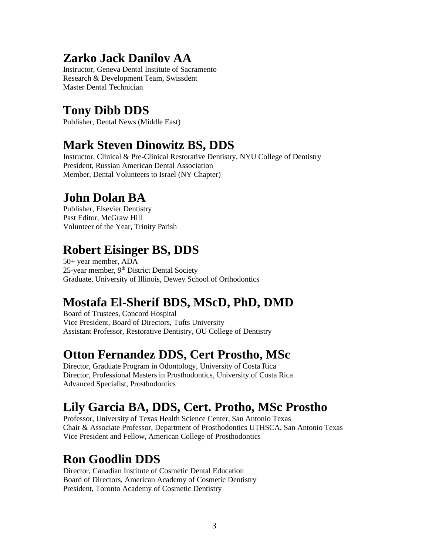#### **Zarko Jack Danilov AA**

Instructor, Geneva Dental Institute of Sacramento Research & Development Team, Swissdent Master Dental Technician

## **Tony Dibb DDS**

Publisher, Dental News (Middle East)

## **Mark Steven Dinowitz BS, DDS**

Instructor, Clinical & Pre-Clinical Restorative Dentistry, NYU College of Dentistry President, Russian American Dental Association Member, Dental Volunteers to Israel (NY Chapter)

## **John Dolan BA**

Publisher, Elsevier Dentistry Past Editor, McGraw Hill Volunteer of the Year, Trinity Parish

## **Robert Eisinger BS, DDS**

50+ year member, ADA 25-year member, 9<sup>th</sup> District Dental Society Graduate, University of Illinois, Dewey School of Orthodontics

## **Mostafa El-Sherif BDS, MScD, PhD, DMD**

Board of Trustees, Concord Hospital Vice President, Board of Directors, Tufts University Assistant Professor, Restorative Dentistry, OU College of Dentistry

## **Otton Fernandez DDS, Cert Prostho, MSc**

Director, Graduate Program in Odontology, University of Costa Rica Director, Professional Masters in Prosthodontics, University of Costa Rica Advanced Specialist, Prosthodontics

# **Lily Garcia BA, DDS, Cert. Protho, MSc Prostho**

Professor, University of Texas Health Science Center, San Antonio Texas Chair & Associate Professor, Department of Prosthodontics UTHSCA, San Antonio Texas Vice President and Fellow, American College of Prosthodontics

## **Ron Goodlin DDS**

Director, Canadian Institute of Cosmetic Dental Education Board of Directors, American Academy of Cosmetic Dentistry President, Toronto Academy of Cosmetic Dentistry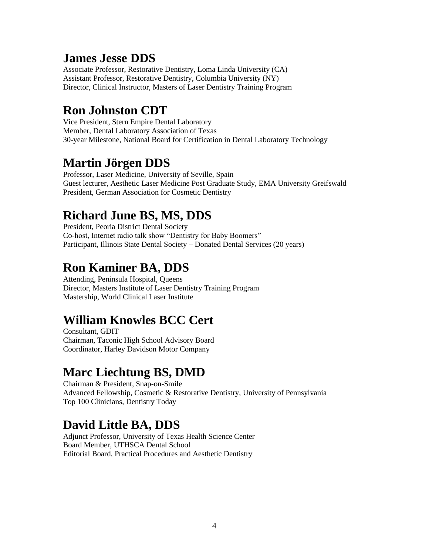#### **James Jesse DDS**

Associate Professor, Restorative Dentistry, Loma Linda University (CA) Assistant Professor, Restorative Dentistry, Columbia University (NY) Director, Clinical Instructor, Masters of Laser Dentistry Training Program

## **Ron Johnston CDT**

Vice President, Stern Empire Dental Laboratory Member, Dental Laboratory Association of Texas 30-year Milestone, National Board for Certification in Dental Laboratory Technology

## **Martin Jörgen DDS**

Professor, Laser Medicine, University of Seville, Spain Guest lecturer, Aesthetic Laser Medicine Post Graduate Study, EMA University Greifswald President, German Association for Cosmetic Dentistry

## **Richard June BS, MS, DDS**

President, Peoria District Dental Society Co-host, Internet radio talk show "Dentistry for Baby Boomers" Participant, Illinois State Dental Society – Donated Dental Services (20 years)

### **Ron Kaminer BA, DDS**

Attending, Peninsula Hospital, Queens Director, Masters Institute of Laser Dentistry Training Program Mastership, World Clinical Laser Institute

## **William Knowles BCC Cert**

Consultant, GDIT Chairman, Taconic High School Advisory Board Coordinator, Harley Davidson Motor Company

#### **Marc Liechtung BS, DMD**

Chairman & President, Snap-on-Smile Advanced Fellowship, Cosmetic & Restorative Dentistry, University of Pennsylvania Top 100 Clinicians, Dentistry Today

## **David Little BA, DDS**

Adjunct Professor, University of Texas Health Science Center Board Member, UTHSCA Dental School Editorial Board, Practical Procedures and Aesthetic Dentistry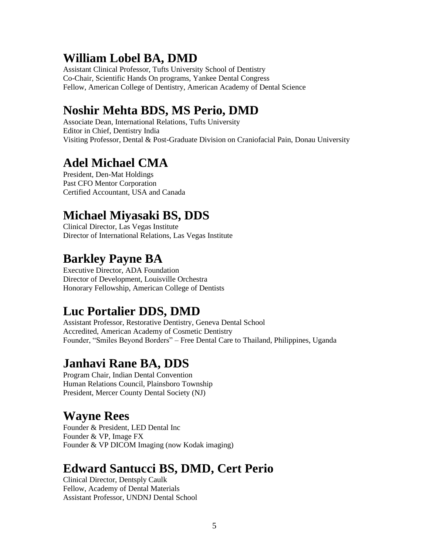#### **William Lobel BA, DMD**

Assistant Clinical Professor, Tufts University School of Dentistry Co-Chair, Scientific Hands On programs, Yankee Dental Congress Fellow, American College of Dentistry, American Academy of Dental Science

## **Noshir Mehta BDS, MS Perio, DMD**

Associate Dean, International Relations, Tufts University Editor in Chief, Dentistry India Visiting Professor, Dental & Post-Graduate Division on Craniofacial Pain, Donau University

## **Adel Michael CMA**

President, Den-Mat Holdings Past CFO Mentor Corporation Certified Accountant, USA and Canada

## **Michael Miyasaki BS, DDS**

Clinical Director, Las Vegas Institute Director of International Relations, Las Vegas Institute

### **Barkley Payne BA**

Executive Director, ADA Foundation Director of Development, Louisville Orchestra Honorary Fellowship, American College of Dentists

## **Luc Portalier DDS, DMD**

Assistant Professor, Restorative Dentistry, Geneva Dental School Accredited, American Academy of Cosmetic Dentistry Founder, "Smiles Beyond Borders" – Free Dental Care to Thailand, Philippines, Uganda

#### **Janhavi Rane BA, DDS**

Program Chair, Indian Dental Convention Human Relations Council, Plainsboro Township President, Mercer County Dental Society (NJ)

## **Wayne Rees**

Founder & President, LED Dental Inc Founder & VP, Image FX Founder & VP DICOM Imaging (now Kodak imaging)

#### **Edward Santucci BS, DMD, Cert Perio**

Clinical Director, Dentsply Caulk Fellow, Academy of Dental Materials Assistant Professor, UNDNJ Dental School